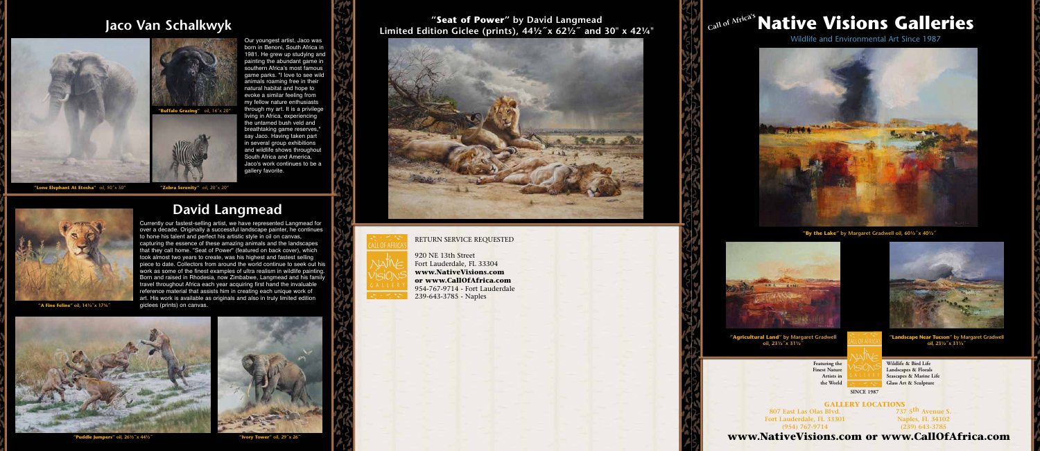RETURN SERVICE REQUESTED

920 NE 13th Street Fort Lauderdale, FL 33304 **www.NativeVisions.com or www.CallOfAfrica.com** 954-767-9714 - Fort Lauderdale 239-643-3785 - Naples



**807 East Las Olas Blvd. Fort Lauderdale, FL 33301 (954) 767-9714** 

**737 5th Avenue S. Naples, FL 34102 (239) 643-3785**

**GALLERY LOCATIONS**

**Wildlife & Bird Life Landscapes & Florals Seascapes & Marine Life Glass Art & Sculpture**

### **"Seat of Power" by David Langmead Limited Edition Giclee (prints), 44½<sup>x</sup> x 62½<sup>2</sup> and 30" x 42¼"**





### **www.NativeVisions.com or www.CallOfAfrica.com**

# **Call of Africa's Native Visions Galleries**



Wildlife and Environmental Art Since 1987



**"Agricultural Land" by Margaret Gradwell oil, 23½˝x 31½˝** 



**"By the Lake" by Margaret Gradwell oil, 60½˝x 40½˝** 



**"A Fine Feline" oil, 14¼˝x 17¾˝** 



**"Puddle Jumpers" oil, 26½˝x 44½˝ "Ivory Tower" oil, 29˝x 26˝** 



# **David Langmead**

**"Landscape Near Tucson" by Margaret Gradwell oil, 23½˝x 31¼˝** 

Our youngest artist, Jaco was born in Benoni, South Africa in 1981. He grew up studying and painting the abundant game in southern Africa's most famous game parks. "I love to see wild animals roaming free in their natural habitat and hope to evoke a similar feeling from my fellow nature enthusiasts through my art. It is a privilege living in Africa, experiencing the untamed bush veld and breathtaking game reserves," say Jaco. Having taken part in several group exhibitions and wildlife shows throughout South Africa and America, Jaco's work continues to be a gallery favorite.

Currently our fastest-selling artist, we have represented Langmead for over a decade. Originally a successful landscape painter, he continues to hone his talent and perfect his artistic style in oil on canvas, capturing the essence of these amazing animals and the landscapes that they call home. "Seat of Power" (featured on back cover), which took almost two years to create, was his highest and fastest selling piece to date. Collectors from around the world continue to seek out his work as some of the finest examples of ultra realism in wildlife painting. Born and raised in Rhodesia, now Zimbabwe, Langmead and his family travel throughout Africa each year acquiring first hand the invaluable reference material that assists him in creating each unique work of art. His work is available as originals and also in truly limited edition giclees (prints) on canvas.

**"Lone Elephant At Etosha"** oil, 50˝x 50"



**"Zebra Serenity"** oil, 20˝x 20"